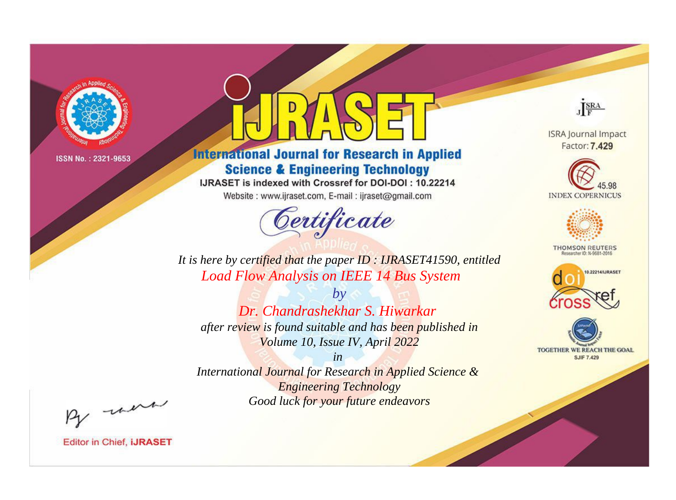

# **International Journal for Research in Applied Science & Engineering Technology**

IJRASET is indexed with Crossref for DOI-DOI: 10.22214

Website: www.ijraset.com, E-mail: ijraset@gmail.com



JERA

**ISRA Journal Impact** Factor: 7.429





**THOMSON REUTERS** 



TOGETHER WE REACH THE GOAL **SJIF 7.429** 

It is here by certified that the paper ID: IJRASET41590, entitled **Load Flow Analysis on IEEE 14 Bus System** 

 $b\nu$ Dr. Chandrashekhar S. Hiwarkar after review is found suitable and has been published in Volume 10, Issue IV, April 2022

 $in$ International Journal for Research in Applied Science & **Engineering Technology** Good luck for your future endeavors

By morn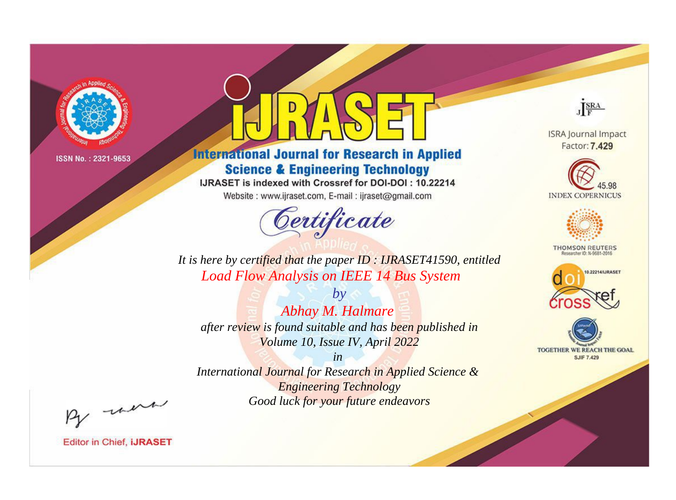

# **International Journal for Research in Applied Science & Engineering Technology**

IJRASET is indexed with Crossref for DOI-DOI: 10.22214

Website: www.ijraset.com, E-mail: ijraset@gmail.com



JERA

**ISRA Journal Impact** Factor: 7.429





**THOMSON REUTERS** 



TOGETHER WE REACH THE GOAL **SJIF 7.429** 

It is here by certified that the paper ID: IJRASET41590, entitled **Load Flow Analysis on IEEE 14 Bus System** 

Abhay M. Halmare after review is found suitable and has been published in Volume 10, Issue IV, April 2022

 $by$ 

 $in$ International Journal for Research in Applied Science & **Engineering Technology** Good luck for your future endeavors

By morn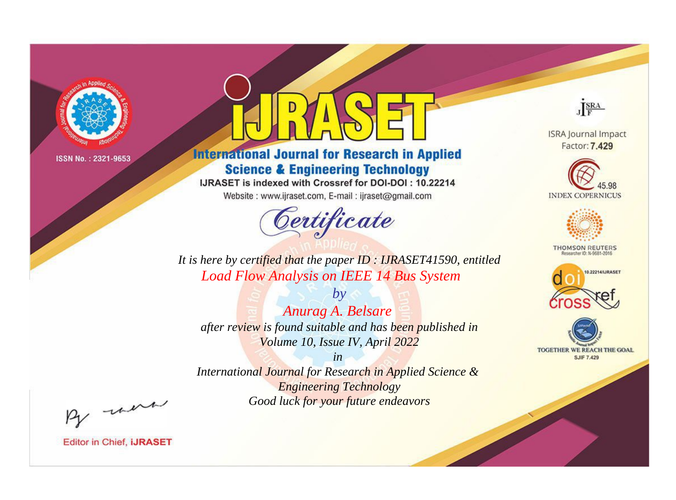

# **International Journal for Research in Applied Science & Engineering Technology**

IJRASET is indexed with Crossref for DOI-DOI: 10.22214

Website: www.ijraset.com, E-mail: ijraset@gmail.com



JERA

**ISRA Journal Impact** Factor: 7.429





**THOMSON REUTERS** 



TOGETHER WE REACH THE GOAL **SJIF 7.429** 

It is here by certified that the paper ID: IJRASET41590, entitled **Load Flow Analysis on IEEE 14 Bus System** 

Anurag A. Belsare after review is found suitable and has been published in Volume 10, Issue IV, April 2022

 $by$ 

 $in$ International Journal for Research in Applied Science & **Engineering Technology** Good luck for your future endeavors

By morn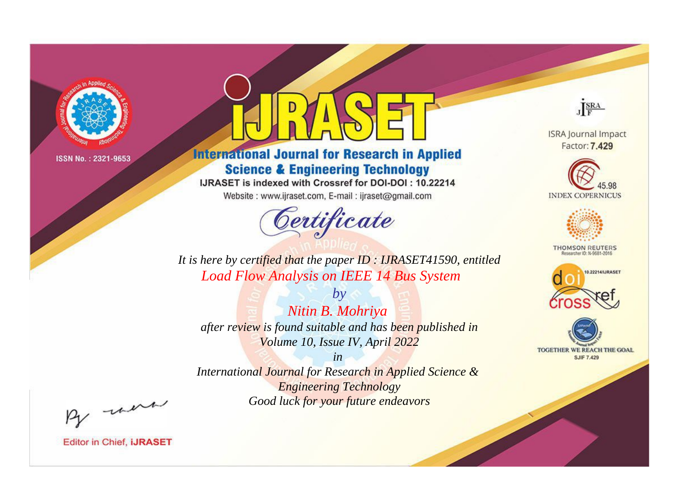

# **International Journal for Research in Applied Science & Engineering Technology**

IJRASET is indexed with Crossref for DOI-DOI: 10.22214

Website: www.ijraset.com, E-mail: ijraset@gmail.com



JERA

**ISRA Journal Impact** Factor: 7.429





**THOMSON REUTERS** 



TOGETHER WE REACH THE GOAL **SJIF 7.429** 

It is here by certified that the paper ID: IJRASET41590, entitled **Load Flow Analysis on IEEE 14 Bus System** 

Nitin B. Mohriya after review is found suitable and has been published in Volume 10, Issue IV, April 2022

 $by$ 

 $in$ International Journal for Research in Applied Science & **Engineering Technology** Good luck for your future endeavors

By morn